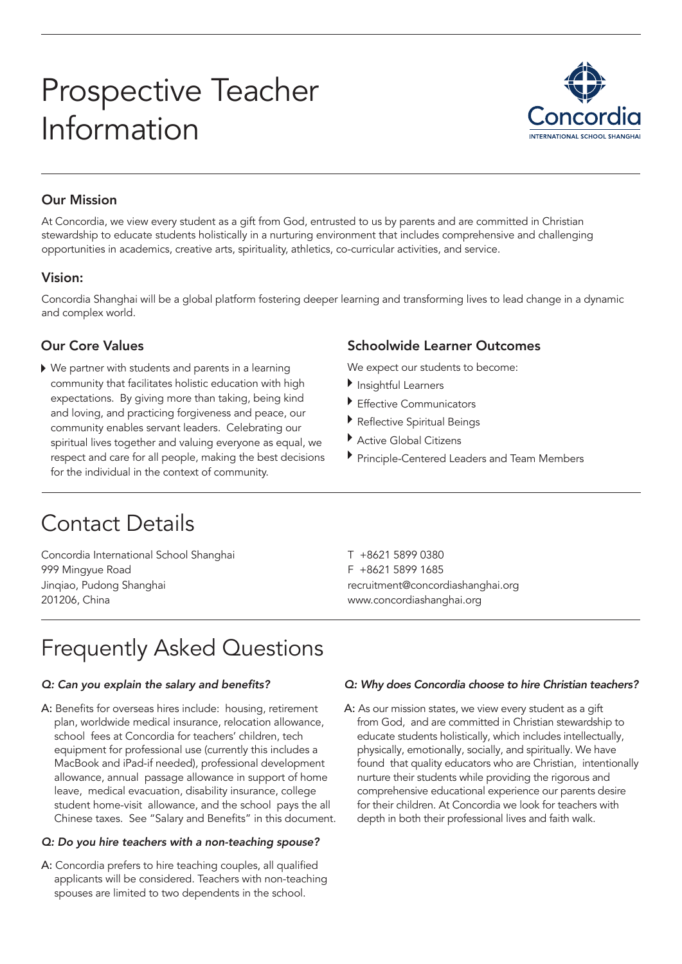# Prospective Teacher Information



## Our Mission

At Concordia, we view every student as a gift from God, entrusted to us by parents and are committed in Christian stewardship to educate students holistically in a nurturing environment that includes comprehensive and challenging opportunities in academics, creative arts, spirituality, athletics, co-curricular activities, and service.

### Vision:

Concordia Shanghai will be a global platform fostering deeper learning and transforming lives to lead change in a dynamic and complex world.

### Our Core Values

We partner with students and parents in a learning community that facilitates holistic education with high expectations. By giving more than taking, being kind and loving, and practicing forgiveness and peace, our community enables servant leaders. Celebrating our spiritual lives together and valuing everyone as equal, we respect and care for all people, making the best decisions for the individual in the context of community.

### Schoolwide Learner Outcomes

We expect our students to become:

- Insightful Learners
- Effective Communicators
- Reflective Spiritual Beings
- Active Global Citizens
- Principle-Centered Leaders and Team Members

# Contact Details

Concordia International School Shanghai 999 Mingyue Road Jinqiao, Pudong Shanghai 201206, China

T +8621 5899 0380 F +8621 5899 1685 recruitment@concordiashanghai.org www.concordiashanghai.org

# Frequently Asked Questions

#### Q: Can you explain the salary and benefits?

A: Benefits for overseas hires include: housing, retirement plan, worldwide medical insurance, relocation allowance, school fees at Concordia for teachers' children, tech equipment for professional use (currently this includes a MacBook and iPad-if needed), professional development allowance, annual passage allowance in support of home leave, medical evacuation, disability insurance, college student home-visit allowance, and the school pays the all Chinese taxes. See "Salary and Benefits" in this document.

#### Q: Do you hire teachers with a non-teaching spouse?

A: Concordia prefers to hire teaching couples, all qualified applicants will be considered. Teachers with non-teaching spouses are limited to two dependents in the school.

#### Q: Why does Concordia choose to hire Christian teachers?

A: As our mission states, we view every student as a gift from God, and are committed in Christian stewardship to educate students holistically, which includes intellectually, physically, emotionally, socially, and spiritually. We have found that quality educators who are Christian, intentionally nurture their students while providing the rigorous and comprehensive educational experience our parents desire for their children. At Concordia we look for teachers with depth in both their professional lives and faith walk.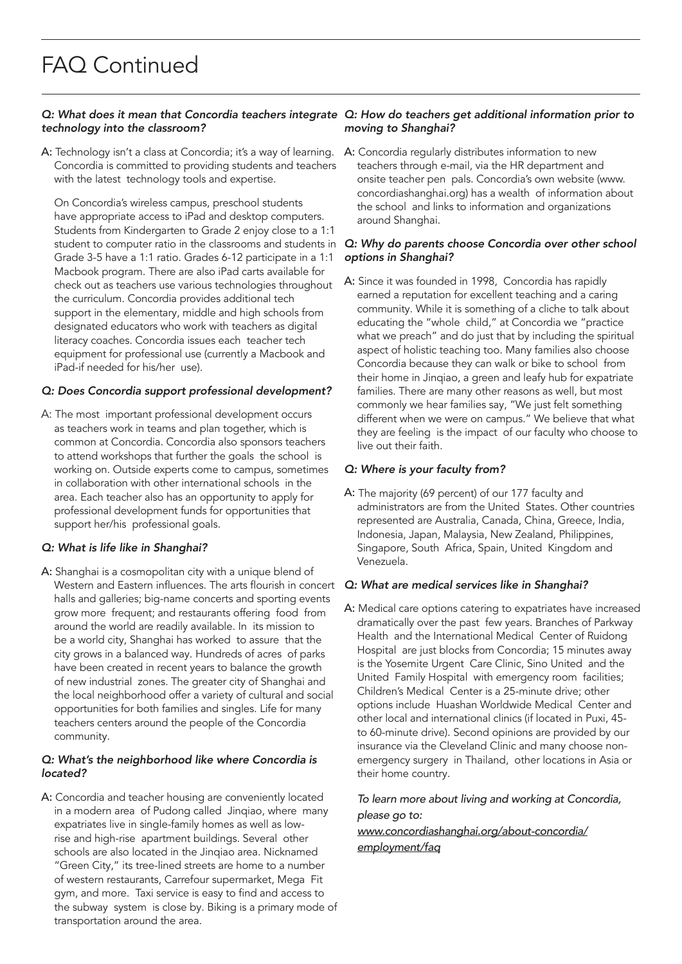# technology into the classroom?

A: Technology isn't a class at Concordia; it's a way of learning. Concordia is committed to providing students and teachers with the latest technology tools and expertise.

On Concordia's wireless campus, preschool students have appropriate access to iPad and desktop computers. Students from Kindergarten to Grade 2 enjoy close to a 1:1 student to computer ratio in the classrooms and students in Grade 3-5 have a 1:1 ratio. Grades 6-12 participate in a 1:1 Macbook program. There are also iPad carts available for check out as teachers use various technologies throughout the curriculum. Concordia provides additional tech support in the elementary, middle and high schools from designated educators who work with teachers as digital literacy coaches. Concordia issues each teacher tech equipment for professional use (currently a Macbook and iPad-if needed for his/her use).

#### Q: Does Concordia support professional development?

A: The most important professional development occurs as teachers work in teams and plan together, which is common at Concordia. Concordia also sponsors teachers to attend workshops that further the goals the school is working on. Outside experts come to campus, sometimes in collaboration with other international schools in the area. Each teacher also has an opportunity to apply for professional development funds for opportunities that support her/his professional goals.

#### Q: What is life like in Shanghai?

A: Shanghai is a cosmopolitan city with a unique blend of Western and Eastern influences. The arts flourish in concert halls and galleries; big-name concerts and sporting events grow more frequent; and restaurants offering food from around the world are readily available. In its mission to be a world city, Shanghai has worked to assure that the city grows in a balanced way. Hundreds of acres of parks have been created in recent years to balance the growth of new industrial zones. The greater city of Shanghai and the local neighborhood offer a variety of cultural and social opportunities for both families and singles. Life for many teachers centers around the people of the Concordia community.

#### *Q: What's the neighborhood like where Concordia is*  located?

A: Concordia and teacher housing are conveniently located in a modern area of Pudong called Jinqiao, where many expatriates live in single-family homes as well as lowrise and high-rise apartment buildings. Several other schools are also located in the Jinqiao area. Nicknamed "Green City," its tree-lined streets are home to a number of western restaurants, Carrefour supermarket, Mega Fit gym, and more. Taxi service is easy to find and access to the subway system is close by. Biking is a primary mode of transportation around the area.

#### *Q: What does it mean that Concordia teachers integrate Q: How do teachers get additional information prior to*  moving to Shanghai?

A: Concordia regularly distributes information to new teachers through e-mail, via the HR department and onsite teacher pen pals. Concordia's own website (www. concordiashanghai.org) has a wealth of information about the school and links to information and organizations around Shanghai.

#### *Q: Why do parents choose Concordia over other school*  options in Shanghai?

A: Since it was founded in 1998, Concordia has rapidly earned a reputation for excellent teaching and a caring community. While it is something of a cliche to talk about educating the "whole child," at Concordia we "practice what we preach" and do just that by including the spiritual aspect of holistic teaching too. Many families also choose Concordia because they can walk or bike to school from their home in Jinqiao, a green and leafy hub for expatriate families. There are many other reasons as well, but most commonly we hear families say, "We just felt something different when we were on campus." We believe that what they are feeling is the impact of our faculty who choose to live out their faith.

#### Q: Where is your faculty from?

A: The majority (69 percent) of our 177 faculty and administrators are from the United States. Other countries represented are Australia, Canada, China, Greece, India, Indonesia, Japan, Malaysia, New Zealand, Philippines, Singapore, South Africa, Spain, United Kingdom and Venezuela.

#### Q: What are medical services like in Shanghai?

A: Medical care options catering to expatriates have increased dramatically over the past few years. Branches of Parkway Health and the International Medical Center of Ruidong Hospital are just blocks from Concordia; 15 minutes away is the Yosemite Urgent Care Clinic, Sino United and the United Family Hospital with emergency room facilities; Children's Medical Center is a 25-minute drive; other options include Huashan Worldwide Medical Center and other local and international clinics (if located in Puxi, 45 to 60-minute drive). Second opinions are provided by our insurance via the Cleveland Clinic and many choose nonemergency surgery in Thailand, other locations in Asia or their home country.

#### *To learn more about living and working at Concordia, please go to:*

#### *[www.concordiashanghai.org/about-concordia/](https://www.concordiashanghai.org/about/employment/faq) [employment/faq](https://www.concordiashanghai.org/about/employment/faq)*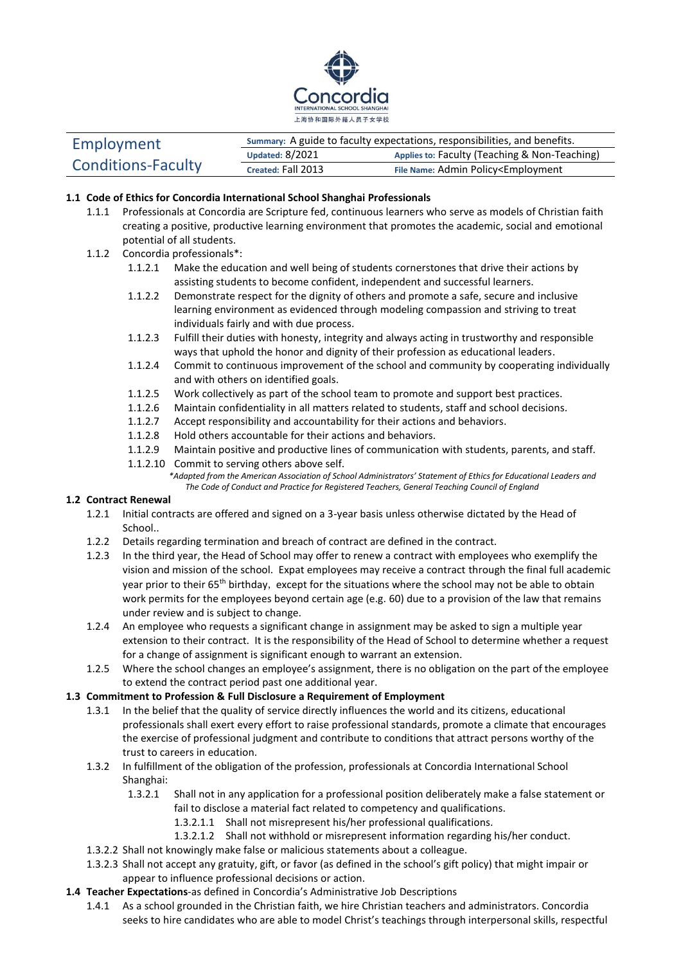

| Employment<br><b>Conditions-Faculty</b> | Summary: A guide to faculty expectations, responsibilities, and benefits. |                                                           |
|-----------------------------------------|---------------------------------------------------------------------------|-----------------------------------------------------------|
|                                         | Updated: $8/2021$                                                         | Applies to: Faculty (Teaching & Non-Teaching)             |
|                                         | Created: Fall 2013                                                        | File Name: Admin Policy <employment< td=""></employment<> |

#### **1.1 Code of Ethics for Concordia International School Shanghai Professionals**

- 1.1.1 Professionals at Concordia are Scripture fed, continuous learners who serve as models of Christian faith creating a positive, productive learning environment that promotes the academic, social and emotional potential of all students.
- 1.1.2 Concordia professionals\*:
	- 1.1.2.1 Make the education and well being of students cornerstones that drive their actions by assisting students to become confident, independent and successful learners.
	- 1.1.2.2 Demonstrate respect for the dignity of others and promote a safe, secure and inclusive learning environment as evidenced through modeling compassion and striving to treat individuals fairly and with due process.
	- 1.1.2.3 Fulfill their duties with honesty, integrity and always acting in trustworthy and responsible ways that uphold the honor and dignity of their profession as educational leaders.
	- 1.1.2.4 Commit to continuous improvement of the school and community by cooperating individually and with others on identified goals.
	- 1.1.2.5 Work collectively as part of the school team to promote and support best practices.
	- 1.1.2.6 Maintain confidentiality in all matters related to students, staff and school decisions.
	- 1.1.2.7 Accept responsibility and accountability for their actions and behaviors.
	- 1.1.2.8 Hold others accountable for their actions and behaviors.
	- 1.1.2.9 Maintain positive and productive lines of communication with students, parents, and staff.
	- 1.1.2.10 Commit to serving others above self. *\*Adapted from the American Association of School Administrators' Statement of Ethics for Educational Leaders and The Code of Conduct and Practice for Registered Teachers, General Teaching Council of England*

#### **1.2 Contract Renewal**

- 1.2.1 Initial contracts are offered and signed on a 3-year basis unless otherwise dictated by the Head of School..
- 1.2.2 Details regarding termination and breach of contract are defined in the contract.
- 1.2.3 In the third year, the Head of School may offer to renew a contract with employees who exemplify the vision and mission of the school. Expat employees may receive a contract through the final full academic year prior to their 65<sup>th</sup> birthday, except for the situations where the school may not be able to obtain work permits for the employees beyond certain age (e.g. 60) due to a provision of the law that remains under review and is subject to change.
- 1.2.4 An employee who requests a significant change in assignment may be asked to sign a multiple year extension to their contract. It is the responsibility of the Head of School to determine whether a request for a change of assignment is significant enough to warrant an extension.
- 1.2.5 Where the school changes an employee's assignment, there is no obligation on the part of the employee to extend the contract period past one additional year.

#### **1.3 Commitment to Profession & Full Disclosure a Requirement of Employment**

- 1.3.1 In the belief that the quality of service directly influences the world and its citizens, educational professionals shall exert every effort to raise professional standards, promote a climate that encourages the exercise of professional judgment and contribute to conditions that attract persons worthy of the trust to careers in education.
- 1.3.2 In fulfillment of the obligation of the profession, professionals at Concordia International School Shanghai:
	- 1.3.2.1 Shall not in any application for a professional position deliberately make a false statement or fail to disclose a material fact related to competency and qualifications.
		- 1.3.2.1.1 Shall not misrepresent his/her professional qualifications.
		- 1.3.2.1.2 Shall not withhold or misrepresent information regarding his/her conduct.
- 1.3.2.2 Shall not knowingly make false or malicious statements about a colleague.
- 1.3.2.3 Shall not accept any gratuity, gift, or favor (as defined in the school's gift policy) that might impair or appear to influence professional decisions or action.
- **1.4 Teacher Expectations**-as defined in Concordia's Administrative Job Descriptions
	- 1.4.1 As a school grounded in the Christian faith, we hire Christian teachers and administrators. Concordia seeks to hire candidates who are able to model Christ's teachings through interpersonal skills, respectful